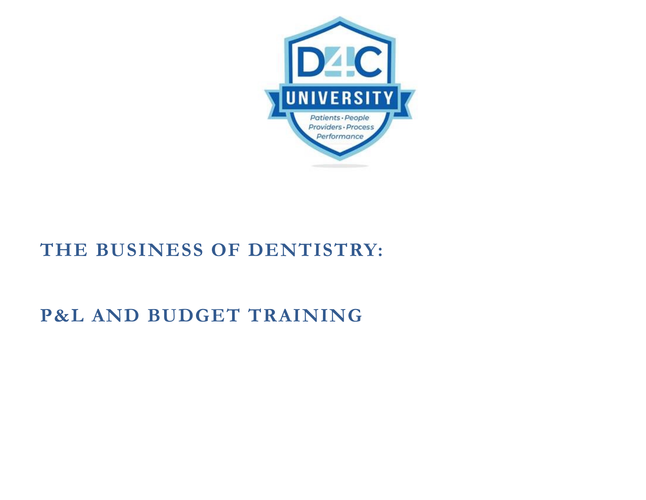

## **THE BUSINESS OF DENTISTRY:**

# **P&L AND BUDGET TRAINING**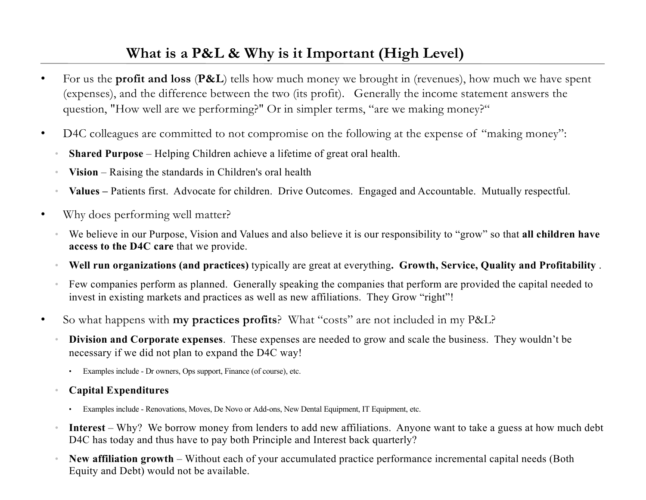#### **What is a P&L & Why is it Important (High Level)**

- For us the **profit and loss** (**P&L**) tells how much money we brought in (revenues), how much we have spent (expenses), and the difference between the two (its profit). Generally the income statement answers the question, "How well are we performing?" Or in simpler terms, "are we making money?"
- D4C colleagues are committed to not compromise on the following at the expense of "making money":
	- **Shared Purpose**  Helping Children achieve a lifetime of great oral health.
	- **Vision** Raising the standards in Children's oral health
	- **Values –** Patients first. Advocate for children. Drive Outcomes. Engaged and Accountable. Mutually respectful.
- Why does performing well matter?
	- We believe in our Purpose, Vision and Values and also believe it is our responsibility to "grow" so that **all children have access to the D4C care** that we provide.
	- **Well run organizations (and practices)** typically are great at everything**. Growth, Service, Quality and Profitability** .
	- Few companies perform as planned. Generally speaking the companies that perform are provided the capital needed to invest in existing markets and practices as well as new affiliations. They Grow "right"!
- So what happens with **my practices profits**? What "costs" are not included in my P&L?
	- **Division and Corporate expenses**. These expenses are needed to grow and scale the business. They wouldn't be necessary if we did not plan to expand the D4C way!
		- Examples include Dr owners, Ops support, Finance (of course), etc.
	- **Capital Expenditures**
		- Examples include Renovations, Moves, De Novo or Add-ons, New Dental Equipment, IT Equipment, etc.
	- **Interest** Why? We borrow money from lenders to add new affiliations. Anyone want to take a guess at how much debt D4C has today and thus have to pay both Principle and Interest back quarterly?
	- **New affiliation growth** Without each of your accumulated practice performance incremental capital needs (Both Equity and Debt) would not be available.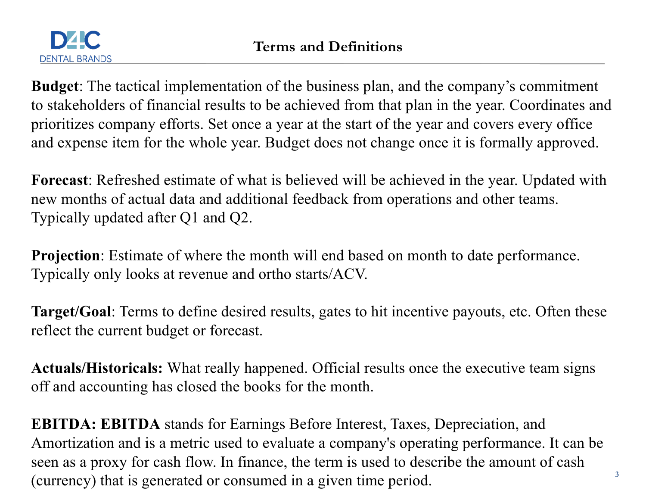

**Budget**: The tactical implementation of the business plan, and the company's commitment to stakeholders of financial results to be achieved from that plan in the year. Coordinates and prioritizes company efforts. Set once a year at the start of the year and covers every office and expense item for the whole year. Budget does not change once it is formally approved.

**Forecast**: Refreshed estimate of what is believed will be achieved in the year. Updated with new months of actual data and additional feedback from operations and other teams. Typically updated after Q1 and Q2.

**Projection**: Estimate of where the month will end based on month to date performance. Typically only looks at revenue and ortho starts/ACV.

**Target/Goal**: Terms to define desired results, gates to hit incentive payouts, etc. Often these reflect the current budget or forecast.

**Actuals/Historicals:** What really happened. Official results once the executive team signs off and accounting has closed the books for the month.

**EBITDA: EBITDA** stands for Earnings Before Interest, Taxes, Depreciation, and Amortization and is a metric used to evaluate a company's operating performance. It can be seen as a proxy for cash flow. In finance, the term is used to describe the amount of cash (currency) that is generated or consumed in a given time period.

**3**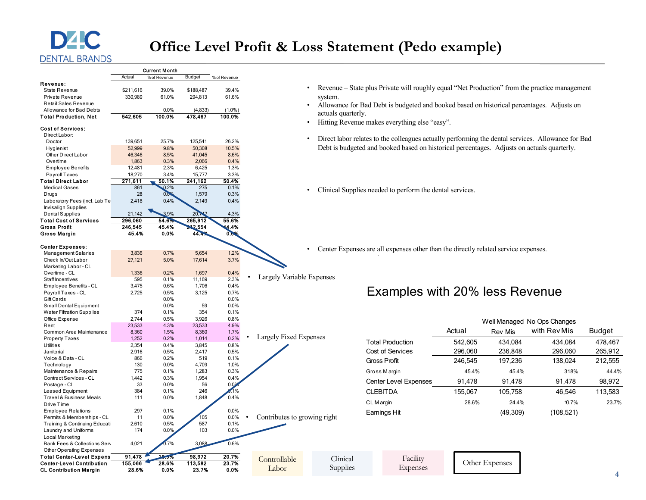### D4C **DENTAL BRANDS**

## **Office Level Profit & Loss Statement (Pedo example)**

|                                                         |                  | <b>Current Month</b> |                     |                     |                              |                    |           |                                                                                                   |         |                |                             |         |
|---------------------------------------------------------|------------------|----------------------|---------------------|---------------------|------------------------------|--------------------|-----------|---------------------------------------------------------------------------------------------------|---------|----------------|-----------------------------|---------|
|                                                         | Actual           | % of Revenue         | Budget              | % of Revenue        |                              |                    |           |                                                                                                   |         |                |                             |         |
| Revenue:                                                |                  |                      |                     |                     |                              |                    |           | Revenue – State plus Private will roughly equal "Net Production" from the practice management     |         |                |                             |         |
| State Revenue                                           | \$211,616        | 39.0%                | \$188,487           | 39.4%               |                              | $\bullet$          |           |                                                                                                   |         |                |                             |         |
| Private Revenue                                         | 330,989          | 61.0%                | 294,813             | 61.6%               |                              | system.            |           |                                                                                                   |         |                |                             |         |
| Retail Sales Revenue                                    |                  |                      |                     |                     |                              | $\bullet$          |           | Allowance for Bad Debt is budgeted and booked based on historical percentages. Adjusts on         |         |                |                             |         |
| Allowance for Bad Debts<br><b>Total Production, Net</b> | 542,605          | 0.0%<br>100.0%       | (4, 833)<br>478,467 | $(1.0\%)$<br>100.0% |                              | actuals quarterly. |           |                                                                                                   |         |                |                             |         |
|                                                         |                  |                      |                     |                     |                              | $\bullet$          |           | Hitting Revenue makes everything else "easy".                                                     |         |                |                             |         |
| <b>Cost of Services:</b>                                |                  |                      |                     |                     |                              |                    |           |                                                                                                   |         |                |                             |         |
| Direct Labor:                                           |                  |                      |                     |                     |                              | $\bullet$          |           | Direct labor relates to the colleagues actually performing the dental services. Allowance for Bad |         |                |                             |         |
| Doctor                                                  | 139,651          | 25.7%                | 125,541             | 26.2%               |                              |                    |           |                                                                                                   |         |                |                             |         |
| Hygienist                                               | 52,999           | 9.8%                 | 50,308              | 10.5%               |                              |                    |           | Debt is budgeted and booked based on historical percentages. Adjusts on actuals quarterly.        |         |                |                             |         |
| Other Direct Labor                                      | 46,346           | 8.5%                 | 41,045              | 8.6%                |                              |                    |           |                                                                                                   |         |                |                             |         |
| Overtime                                                | 1,863            | 0.3%                 | 2,066               | 0.4%                |                              |                    |           |                                                                                                   |         |                |                             |         |
| <b>Employee Benefits</b>                                | 12,481           | 2.3%                 | 6,425               | 1.3%                |                              |                    |           |                                                                                                   |         |                |                             |         |
| Payroll Taxes                                           | 18,270           | 3.4%                 | 15,777              | 3.3%                |                              |                    |           |                                                                                                   |         |                |                             |         |
| <b>Total Direct Labor</b>                               | 271,611          | 50.1%                | 241,162             | 50.4%               |                              |                    |           |                                                                                                   |         |                |                             |         |
| <b>Medical Gases</b><br>Drugs                           | 861<br>28        | 0.2%<br>0.0          | 275<br>1,579        | 0.1%<br>0.3%        |                              |                    |           | Clinical Supplies needed to perform the dental services.                                          |         |                |                             |         |
| Laboratory Fees (incl. Lab Te                           | 2,418            | 0.4%                 | 2,149               | 0.4%                |                              |                    |           |                                                                                                   |         |                |                             |         |
| Invisalign Supplies                                     |                  |                      |                     |                     |                              |                    |           |                                                                                                   |         |                |                             |         |
| <b>Dental Supplies</b>                                  | 21,142           | 3.9%                 | 20.7                | 4.3%                |                              |                    |           |                                                                                                   |         |                |                             |         |
| <b>Total Cost of Services</b>                           | 296,060          | 54.6%                | 265,912             | 55.6%               |                              |                    |           |                                                                                                   |         |                |                             |         |
| <b>Gross Profit</b>                                     | 246,545          | 45.4%                | 12,554              | 4.4%                |                              |                    |           |                                                                                                   |         |                |                             |         |
| <b>Gross Margin</b>                                     | 45.4%            | 0.0%                 | 44.4%               | 0.046               |                              |                    |           |                                                                                                   |         |                |                             |         |
|                                                         |                  |                      |                     |                     |                              |                    |           |                                                                                                   |         |                |                             |         |
| <b>Center Expenses:</b>                                 |                  |                      |                     |                     |                              |                    |           | Center Expenses are all expenses other than the directly related service expenses.                |         |                |                             |         |
| <b>Management Salaries</b>                              | 3,836            | 0.7%                 | 5,654               | 1.2%                |                              |                    |           |                                                                                                   |         |                |                             |         |
| Check In/Out Labor                                      | 27,121           | 5.0%                 | 17,614              | 3.7%                |                              |                    |           |                                                                                                   |         |                |                             |         |
| Marketing Labor - CL                                    |                  |                      |                     |                     |                              |                    |           |                                                                                                   |         |                |                             |         |
| Overtime - CL                                           | 1,336            | 0.2%                 | 1,697               | 0.4%                | Largely Variable Expenses    |                    |           |                                                                                                   |         |                |                             |         |
| Staff Incentives                                        | 595              | 0.1%<br>0.6%         | 11,169<br>1,706     | 2.3%<br>0.4%        |                              |                    |           |                                                                                                   |         |                |                             |         |
| Employee Benefits - CL<br>Payroll Taxes - CL            | 3,475<br>2,725   | 0.5%                 | 3,125               | 0.7%                |                              |                    |           | Examples with 20% less Revenue                                                                    |         |                |                             |         |
| Gift Cards                                              |                  | 0.0%                 |                     | 0.0%                |                              |                    |           |                                                                                                   |         |                |                             |         |
| Small Dental Equipment                                  |                  | 0.0%                 | 59                  | 0.0%                |                              |                    |           |                                                                                                   |         |                |                             |         |
| <b>Water Filtration Supplies</b>                        | 374              | 0.1%                 | 354                 | 0.1%                |                              |                    |           |                                                                                                   |         |                |                             |         |
| Office Expense                                          | 2,744            | 0.5%                 | 3,926               | 0.8%                |                              |                    |           |                                                                                                   |         |                |                             |         |
| Rent                                                    | 23,533           | 4.3%                 | 23,533              | 4.9%                |                              |                    |           |                                                                                                   |         |                | Well Managed No Ops Changes |         |
| Common Area Maintenance                                 | 8,360            | 1.5%                 | 8,360               | 1.7%                |                              |                    |           |                                                                                                   | Actual  | <b>Rev Mis</b> | with Rev Mis                | Budget  |
| Property Taxes                                          | 1,252            | 0.2%                 | 1,014               | 0.2%                | Largely Fixed Expenses       |                    |           | <b>Total Production</b>                                                                           | 542,605 | 434,084        | 434,084                     | 478,467 |
| Utilities                                               | 2,354            | 0.4%                 | 3,845               | 0.8%                |                              |                    |           |                                                                                                   |         |                |                             |         |
| Janitorial                                              | 2,916            | 0.5%                 | 2.417               | 0.5%                |                              |                    |           | Cost of Services                                                                                  | 296,060 | 236.848        | 296.060                     | 265,912 |
| Voice & Data - CL                                       | 866              | 0.2%                 | 519                 | 0.1%                |                              |                    |           | <b>Gross Profit</b>                                                                               | 246,545 | 197,236        | 138,024                     | 212,555 |
| Technology                                              | 130              | 0.0%                 | 4,709               | 1.0%                |                              |                    |           |                                                                                                   |         |                |                             |         |
| Maintenance & Repairs                                   | 775              | 0.1%                 | 1,283               | 0.3%                |                              |                    |           | Gross Margin                                                                                      | 45.4%   | 45.4%          | 31.8%                       | 44.4%   |
| Contract Services - CL<br>Postage - CL                  | 1,442<br>33      | 0.3%<br>0.0%         | 1,954<br>56         | 0.4%<br>0.09        |                              |                    |           | <b>Center Level Expenses</b>                                                                      | 91,478  | 91,478         | 91,478                      | 98,972  |
| Leased Equipment                                        | 384              | 0.1%                 | 246                 | .1%                 |                              |                    |           | <b>CLEBITDA</b>                                                                                   | 155,067 | 105,758        | 46,546                      | 113,583 |
| Travel & Business Meals                                 | 111              | 0.0%                 | 1,848               | 0.4%                |                              |                    |           |                                                                                                   |         |                |                             |         |
| Drive Time                                              |                  |                      |                     |                     |                              |                    | CL Margin |                                                                                                   | 28.6%   | 24.4%          | 10.7%                       | 23.7%   |
| <b>Employee Relations</b>                               | 297              | 0.1%                 |                     | 0.0%                |                              |                    |           |                                                                                                   |         | (49, 309)      | (108, 521)                  |         |
| Permits & Memberships - CL                              | 11               | 0.0%                 | 105                 | 0.0%                | Contributes to growing right |                    |           | Eamings Hit                                                                                       |         |                |                             |         |
| Training & Continuing Educati                           | 2,610            | 0.5%                 | 587                 | 0.1%                |                              |                    |           |                                                                                                   |         |                |                             |         |
| Laundry and Uniforms                                    | 174              | 0.0%                 | 103                 | 0.0%                |                              |                    |           |                                                                                                   |         |                |                             |         |
| Local Marketing                                         |                  |                      |                     |                     |                              |                    |           |                                                                                                   |         |                |                             |         |
| Bank Fees & Collections Serv                            | 4,021            | 0.7%                 | 3,088               | 0.6%                |                              |                    |           |                                                                                                   |         |                |                             |         |
| <b>Other Operating Expenses</b>                         |                  |                      |                     |                     |                              |                    |           |                                                                                                   |         |                |                             |         |
| <b>Total Center-Level Expens</b>                        | 91,478           | 15.5%                | 98,972              | 20.7%               | Controllable                 | Clinical           |           | Facility                                                                                          |         |                |                             |         |
| <b>Center-Level Contribution</b>                        | 155,066<br>28.6% | 28.6%<br>0.0%        | 113,582<br>23.7%    | 23.7%<br>0.0%       | Labor                        | Supplies           |           | <b>Expenses</b>                                                                                   |         | Other Expenses |                             |         |
| <b>CL Contribution Margin</b>                           |                  |                      |                     |                     |                              |                    |           |                                                                                                   |         |                |                             |         |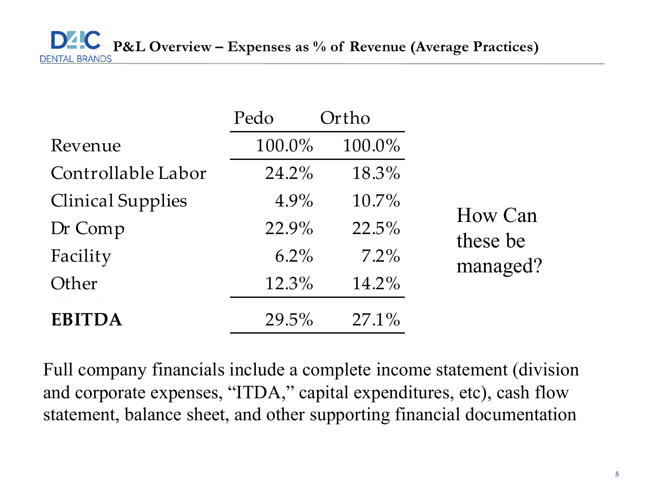|                          | Pedo     | Ortho    |                     |
|--------------------------|----------|----------|---------------------|
| Revenue                  | 100.0%   | 100.0%   |                     |
| Controllable Labor       | 24.2%    | 18.3%    |                     |
| <b>Clinical Supplies</b> | $4.9\%$  | 10.7%    |                     |
| Dr Comp                  | 22.9%    | 22.5%    | How Can<br>these be |
| Facility                 | $6.2\%$  | $7.2\%$  | managed?            |
| Other                    | 12.3%    | 14.2%    |                     |
| <b>EBITDA</b>            | $29.5\%$ | $27.1\%$ |                     |

Full company financials include a complete income statement (division and corporate expenses, "ITDA," capital expenditures, etc), cash flow statement, balance sheet, and other supporting financial documentation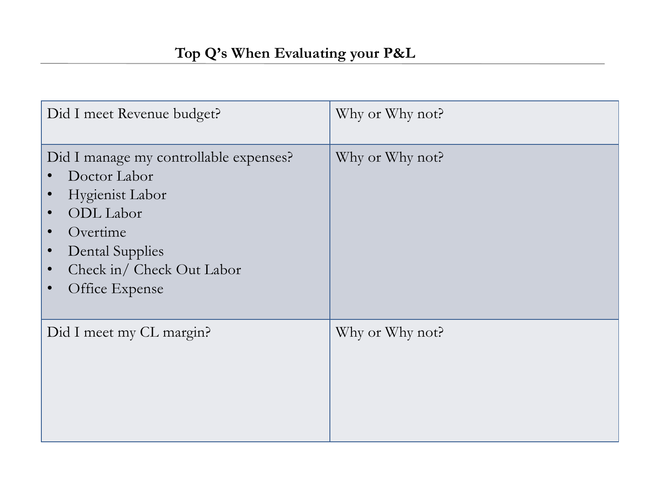| Did I meet Revenue budget?                                                                                                                                                                                                                                | Why or Why not? |  |  |  |
|-----------------------------------------------------------------------------------------------------------------------------------------------------------------------------------------------------------------------------------------------------------|-----------------|--|--|--|
| Did I manage my controllable expenses?<br>Doctor Labor<br>Hygienist Labor<br>$\bullet$<br>ODL Labor<br>$\bullet$<br>Overtime<br>$\bullet$<br><b>Dental Supplies</b><br>$\bullet$<br>Check in/ Check Out Labor<br>$\bullet$<br>Office Expense<br>$\bullet$ | Why or Why not? |  |  |  |
| Did I meet my CL margin?                                                                                                                                                                                                                                  | Why or Why not? |  |  |  |